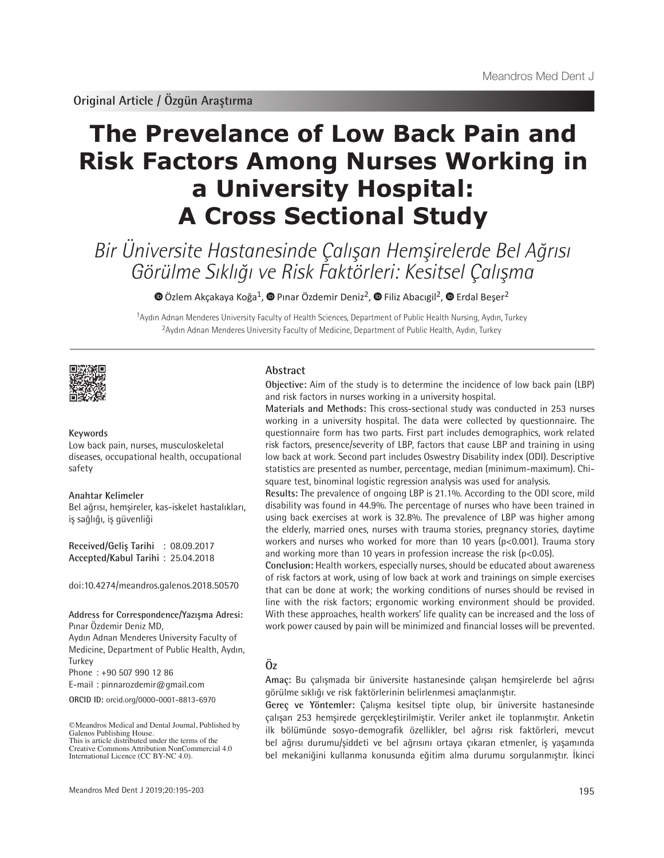# **The Prevelance of Low Back Pain and Risk Factors Among Nurses Working in a University Hospital: A Cross Sectional Study**

Bir Üniversite Hastanesinde Çalışan Hemşirelerde Bel Ağrısı Görülme Sıklığı ve Risk Faktörleri: Kesitsel Çalışma

 $\bullet$ Özlem Akçakaya Koğa<sup>1</sup>,  $\bullet$  Pınar Özdemir Deniz<sup>2</sup>,  $\bullet$  Filiz Abacıgil<sup>2</sup>,  $\bullet$  Erdal Beşer<sup>2</sup>

<sup>1</sup>Aydın Adnan Menderes University Faculty of Health Sciences, Department of Public Health Nursing, Aydın, Turkey <sup>2</sup>Aydın Adnan Menderes University Faculty of Medicine, Department of Public Health, Aydın, Turkey



#### **Keywords**

Low back pain, nurses, musculoskeletal diseases, occupational health, occupational safety

**Anahtar Kelimeler**

Bel ağrısı, hemşireler, kas-iskelet hastalıkları, iş sağlığı, iş güvenliği

**Received/Geliş Tarihi** : 08.09.2017 **Accepted/Kabul Tarihi** : 25.04.2018

doi:10.4274/meandros.galenos.2018.50570

**Address for Correspondence/Yazışma Adresi:** Pınar Özdemir Deniz MD,

Aydın Adnan Menderes University Faculty of Medicine, Department of Public Health, Aydın, Turkey Phone : +90 507 990 12 86

E-mail : pinnarozdemir@gmail.com

**ORCID ID:** orcid.org/0000-0001-8813-6970

©Meandros Medical and Dental Journal, Published by Galenos Publishing House. This is article distributed under the terms of the

#### **Abstract**

**Objective:** Aim of the study is to determine the incidence of low back pain (LBP) and risk factors in nurses working in a university hospital.

**Materials and Methods:** This cross-sectional study was conducted in 253 nurses working in a university hospital. The data were collected by questionnaire. The questionnaire form has two parts. First part includes demographics, work related risk factors, presence/severity of LBP, factors that cause LBP and training in using low back at work. Second part includes Oswestry Disability index (ODI). Descriptive statistics are presented as number, percentage, median (minimum-maximum). Chisquare test, binominal logistic regression analysis was used for analysis.

**Results:** The prevalence of ongoing LBP is 21.1%. According to the ODI score, mild disability was found in 44.9%. The percentage of nurses who have been trained in using back exercises at work is 32.8%. The prevalence of LBP was higher among the elderly, married ones, nurses with trauma stories, pregnancy stories, daytime workers and nurses who worked for more than 10 years (p<0.001). Trauma story and working more than 10 years in profession increase the risk ( $p$ <0.05).

**Conclusion:** Health workers, especially nurses, should be educated about awareness of risk factors at work, using of low back at work and trainings on simple exercises that can be done at work; the working conditions of nurses should be revised in line with the risk factors; ergonomic working environment should be provided. With these approaches, health workers' life quality can be increased and the loss of work power caused by pain will be minimized and financial losses will be prevented.

# **Öz**

**Amaç:** Bu çalışmada bir üniversite hastanesinde çalışan hemşirelerde bel ağrısı görülme sıklığı ve risk faktörlerinin belirlenmesi amaçlanmıştır.

**Gereç ve Yöntemler:** Çalışma kesitsel tipte olup, bir üniversite hastanesinde çalışan 253 hemşirede gerçekleştirilmiştir. Veriler anket ile toplanmıştır. Anketin ilk bölümünde sosyo-demografik özellikler, bel ağrısı risk faktörleri, mevcut bel ağrısı durumu/şiddeti ve bel ağrısını ortaya çıkaran etmenler, iş yaşamında bel mekaniğini kullanma konusunda eğitim alma durumu sorgulanmıştır. İkinci

Creative Commons Attribution NonCommercial 4.0 International Licence (CC BY-NC 4.0).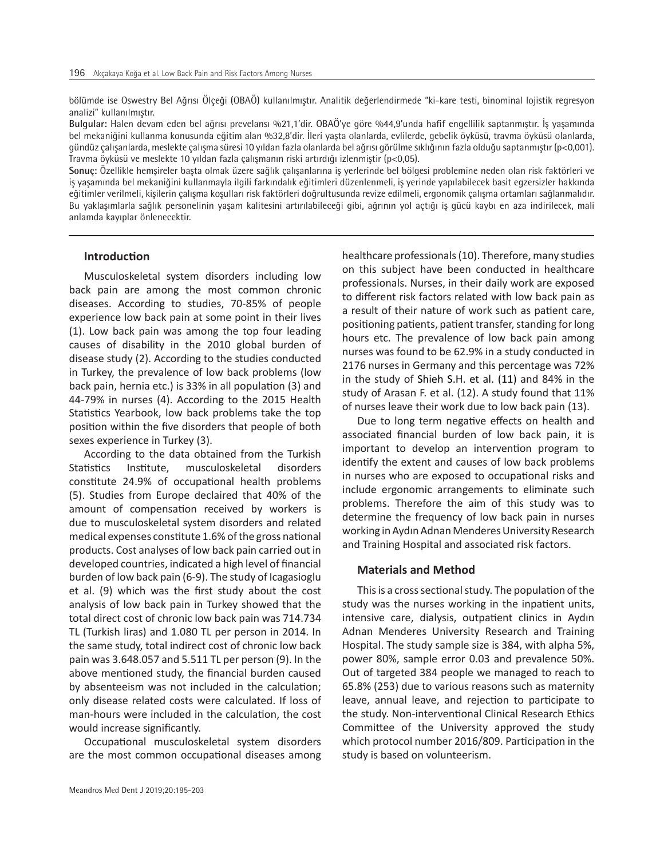bölümde ise Oswestry Bel Ağrısı Ölçeği (OBAÖ) kullanılmıştır. Analitik değerlendirmede "ki-kare testi, binominal lojistik regresyon analizi" kullanılmıştır.

**Bulgular:** Halen devam eden bel ağrısı prevelansı %21,1'dir. OBAÖ'ye göre %44,9'unda hafif engellilik saptanmıştır. İş yaşamında bel mekaniğini kullanma konusunda eğitim alan %32,8'dir. İleri yaşta olanlarda, evlilerde, gebelik öyküsü, travma öyküsü olanlarda, gündüz çalışanlarda, meslekte çalışma süresi 10 yıldan fazla olanlarda bel ağrısı görülme sıklığının fazla olduğu saptanmıştır (p<0,001). Travma öyküsü ve meslekte 10 yıldan fazla çalışmanın riski artırdığı izlenmiştir (p<0,05).

**Sonuç:** Özellikle hemşireler başta olmak üzere sağlık çalışanlarına iş yerlerinde bel bölgesi problemine neden olan risk faktörleri ve iş yaşamında bel mekaniğini kullanmayla ilgili farkındalık eğitimleri düzenlenmeli, iş yerinde yapılabilecek basit egzersizler hakkında eğitimler verilmeli, kişilerin çalışma koşulları risk faktörleri doğrultusunda revize edilmeli, ergonomik çalışma ortamları sağlanmalıdır. Bu yaklaşımlarla sağlık personelinin yaşam kalitesini artırılabileceği gibi, ağrının yol açtığı iş gücü kaybı en aza indirilecek, mali anlamda kayıplar önlenecektir.

### **Introduction**

Musculoskeletal system disorders including low back pain are among the most common chronic diseases. According to studies, 70-85% of people experience low back pain at some point in their lives (1). Low back pain was among the top four leading causes of disability in the 2010 global burden of disease study (2). According to the studies conducted in Turkey, the prevalence of low back problems (low back pain, hernia etc.) is 33% in all population (3) and 44-79% in nurses (4). According to the 2015 Health Statistics Yearbook, low back problems take the top position within the five disorders that people of both sexes experience in Turkey (3).

According to the data obtained from the Turkish Statistics Institute, musculoskeletal disorders constitute 24.9% of occupational health problems (5). Studies from Europe declaired that 40% of the amount of compensation received by workers is due to musculoskeletal system disorders and related medical expenses constitute 1.6% of the gross national products. Cost analyses of low back pain carried out in developed countries, indicated a high level of financial burden of low back pain (6-9). The study of Icagasioglu et al. (9) which was the first study about the cost analysis of low back pain in Turkey showed that the total direct cost of chronic low back pain was 714.734 TL (Turkish liras) and 1.080 TL per person in 2014. In the same study, total indirect cost of chronic low back pain was 3.648.057 and 5.511 TL per person (9). In the above mentioned study, the financial burden caused by absenteeism was not included in the calculation; only disease related costs were calculated. If loss of man-hours were included in the calculation, the cost would increase significantly.

Occupational musculoskeletal system disorders are the most common occupational diseases among healthcare professionals (10). Therefore, many studies on this subject have been conducted in healthcare professionals. Nurses, in their daily work are exposed to different risk factors related with low back pain as a result of their nature of work such as patient care, positioning patients, patient transfer, standing for long hours etc. The prevalence of low back pain among nurses was found to be 62.9% in a study conducted in 2176 nurses in Germany and this percentage was 72% in the study of Shieh S.H. et al. (11) and 84% in the study of Arasan F. et al. (12). A study found that 11% of nurses leave their work due to low back pain (13).

Due to long term negative effects on health and associated financial burden of low back pain, it is important to develop an intervention program to identify the extent and causes of low back problems in nurses who are exposed to occupational risks and include ergonomic arrangements to eliminate such problems. Therefore the aim of this study was to determine the frequency of low back pain in nurses working in Aydın Adnan Menderes University Research and Training Hospital and associated risk factors.

#### **Materials and Method**

This is a cross sectional study. The population of the study was the nurses working in the inpatient units, intensive care, dialysis, outpatient clinics in Aydın Adnan Menderes University Research and Training Hospital. The study sample size is 384, with alpha 5%, power 80%, sample error 0.03 and prevalence 50%. Out of targeted 384 people we managed to reach to 65.8% (253) due to various reasons such as maternity leave, annual leave, and rejection to participate to the study. Non-interventional Clinical Research Ethics Committee of the University approved the study which protocol number 2016/809. Participation in the study is based on volunteerism.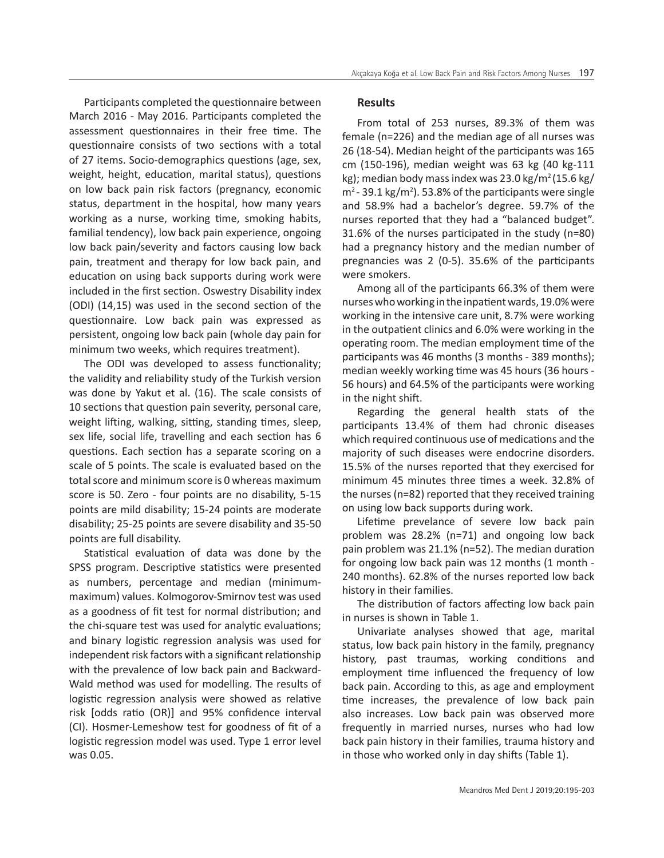Participants completed the questionnaire between March 2016 - May 2016. Participants completed the assessment questionnaires in their free time. The questionnaire consists of two sections with a total of 27 items. Socio-demographics questions (age, sex, weight, height, education, marital status), questions on low back pain risk factors (pregnancy, economic status, department in the hospital, how many years working as a nurse, working time, smoking habits, familial tendency), low back pain experience, ongoing low back pain/severity and factors causing low back pain, treatment and therapy for low back pain, and education on using back supports during work were included in the first section. Oswestry Disability index (ODI) (14,15) was used in the second section of the questionnaire. Low back pain was expressed as persistent, ongoing low back pain (whole day pain for minimum two weeks, which requires treatment).

The ODI was developed to assess functionality; the validity and reliability study of the Turkish version was done by Yakut et al. (16). The scale consists of 10 sections that question pain severity, personal care, weight lifting, walking, sitting, standing times, sleep, sex life, social life, travelling and each section has 6 questions. Each section has a separate scoring on a scale of 5 points. The scale is evaluated based on the total score and minimum score is 0 whereas maximum score is 50. Zero - four points are no disability, 5-15 points are mild disability; 15-24 points are moderate disability; 25-25 points are severe disability and 35-50 points are full disability.

Statistical evaluation of data was done by the SPSS program. Descriptive statistics were presented as numbers, percentage and median (minimummaximum) values. Kolmogorov-Smirnov test was used as a goodness of fit test for normal distribution; and the chi-square test was used for analytic evaluations; and binary logistic regression analysis was used for independent risk factors with a significant relationship with the prevalence of low back pain and Backward-Wald method was used for modelling. The results of logistic regression analysis were showed as relative risk [odds ratio (OR)] and 95% confidence interval (CI). Hosmer-Lemeshow test for goodness of fit of a logistic regression model was used. Type 1 error level was 0.05.

#### **Results**

From total of 253 nurses, 89.3% of them was female (n=226) and the median age of all nurses was 26 (18-54). Median height of the participants was 165 cm (150-196), median weight was 63 kg (40 kg-111 kg); median body mass index was 23.0 kg/m<sup>2</sup>(15.6 kg/  $m<sup>2</sup>$  - 39.1 kg/m<sup>2</sup>). 53.8% of the participants were single and 58.9% had a bachelor's degree. 59.7% of the nurses reported that they had a "balanced budget". 31.6% of the nurses participated in the study (n=80) had a pregnancy history and the median number of pregnancies was 2 (0-5). 35.6% of the participants were smokers.

Among all of the participants 66.3% of them were nurses who working in the inpatient wards, 19.0% were working in the intensive care unit, 8.7% were working in the outpatient clinics and 6.0% were working in the operating room. The median employment time of the participants was 46 months (3 months - 389 months); median weekly working time was 45 hours (36 hours - 56 hours) and 64.5% of the participants were working in the night shift.

Regarding the general health stats of the participants 13.4% of them had chronic diseases which required continuous use of medications and the majority of such diseases were endocrine disorders. 15.5% of the nurses reported that they exercised for minimum 45 minutes three times a week. 32.8% of the nurses (n=82) reported that they received training on using low back supports during work.

Lifetime prevelance of severe low back pain problem was 28.2% (n=71) and ongoing low back pain problem was 21.1% (n=52). The median duration for ongoing low back pain was 12 months (1 month -240 months). 62.8% of the nurses reported low back history in their families.

The distribution of factors affecting low back pain in nurses is shown in Table 1.

Univariate analyses showed that age, marital status, low back pain history in the family, pregnancy history, past traumas, working conditions and employment time influenced the frequency of low back pain. According to this, as age and employment time increases, the prevalence of low back pain also increases. Low back pain was observed more frequently in married nurses, nurses who had low back pain history in their families, trauma history and in those who worked only in day shifts (Table 1).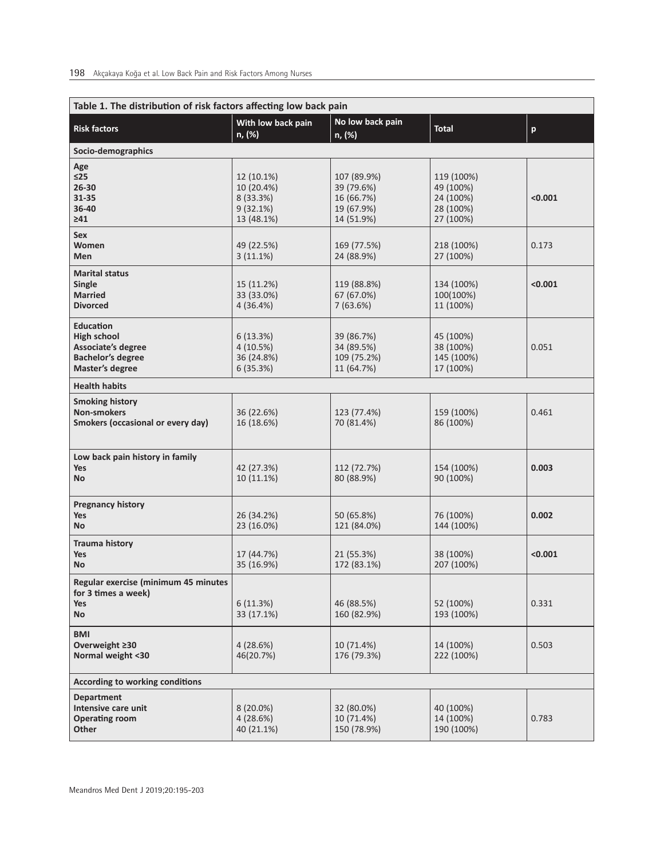| Table 1. The distribution of risk factors affecting low back pain                                           |                                                                 |                                                                     |                                                                |                           |  |
|-------------------------------------------------------------------------------------------------------------|-----------------------------------------------------------------|---------------------------------------------------------------------|----------------------------------------------------------------|---------------------------|--|
| <b>Risk factors</b>                                                                                         | With low back pain<br>n, (%)                                    | No low back pain<br>n, (%)                                          | <b>Total</b>                                                   | $\boldsymbol{\mathsf{p}}$ |  |
| Socio-demographics                                                                                          |                                                                 |                                                                     |                                                                |                           |  |
| Age<br>≤25<br>$26 - 30$<br>31-35<br>36-40<br>$\geq 41$                                                      | 12 (10.1%)<br>10 (20.4%)<br>8 (33.3%)<br>9(32.1%)<br>13 (48.1%) | 107 (89.9%)<br>39 (79.6%)<br>16 (66.7%)<br>19 (67.9%)<br>14 (51.9%) | 119 (100%)<br>49 (100%)<br>24 (100%)<br>28 (100%)<br>27 (100%) | < 0.001                   |  |
| Sex<br>Women<br>Men                                                                                         | 49 (22.5%)<br>$3(11.1\%)$                                       | 169 (77.5%)<br>24 (88.9%)                                           | 218 (100%)<br>27 (100%)                                        | 0.173                     |  |
| <b>Marital status</b><br>Single<br><b>Married</b><br><b>Divorced</b>                                        | 15 (11.2%)<br>33 (33.0%)<br>4(36.4%)                            | 119 (88.8%)<br>67 (67.0%)<br>7(63.6%)                               | 134 (100%)<br>100(100%)<br>11 (100%)                           | < 0.001                   |  |
| <b>Education</b><br><b>High school</b><br>Associate's degree<br><b>Bachelor's degree</b><br>Master's degree | 6(13.3%)<br>4(10.5%)<br>36 (24.8%)<br>6(35.3%)                  | 39 (86.7%)<br>34 (89.5%)<br>109 (75.2%)<br>11 (64.7%)               | 45 (100%)<br>38 (100%)<br>145 (100%)<br>17 (100%)              | 0.051                     |  |
| <b>Health habits</b>                                                                                        |                                                                 |                                                                     |                                                                |                           |  |
| <b>Smoking history</b><br><b>Non-smokers</b><br>Smokers (occasional or every day)                           | 36 (22.6%)<br>16 (18.6%)                                        | 123 (77.4%)<br>70 (81.4%)                                           | 159 (100%)<br>86 (100%)                                        | 0.461                     |  |
| Low back pain history in family<br><b>Yes</b><br><b>No</b>                                                  | 42 (27.3%)<br>10 (11.1%)                                        | 112 (72.7%)<br>80 (88.9%)                                           | 154 (100%)<br>90 (100%)                                        | 0.003                     |  |
| <b>Pregnancy history</b><br>Yes<br><b>No</b>                                                                | 26 (34.2%)<br>23 (16.0%)                                        | 50 (65.8%)<br>121 (84.0%)                                           | 76 (100%)<br>144 (100%)                                        | 0.002                     |  |
| <b>Trauma history</b><br><b>Yes</b><br>No                                                                   | 17 (44.7%)<br>35 (16.9%)                                        | 21 (55.3%)<br>172 (83.1%)                                           | 38 (100%)<br>207 (100%)                                        | < 0.001                   |  |
| Regular exercise (minimum 45 minutes<br>for 3 times a week)<br>Yes<br>No                                    | 6(11.3%)<br>33 (17.1%)                                          | 46 (88.5%)<br>160 (82.9%)                                           | 52 (100%)<br>193 (100%)                                        | 0.331                     |  |
| <b>BMI</b><br>Overweight ≥30<br>Normal weight <30                                                           | 4(28.6%)<br>46(20.7%)                                           | 10 (71.4%)<br>176 (79.3%)                                           | 14 (100%)<br>222 (100%)                                        | 0.503                     |  |
| According to working conditions                                                                             |                                                                 |                                                                     |                                                                |                           |  |
| <b>Department</b><br>Intensive care unit<br><b>Operating room</b><br>Other                                  | $8(20.0\%)$<br>4(28.6%)<br>40 (21.1%)                           | 32 (80.0%)<br>10 (71.4%)<br>150 (78.9%)                             | 40 (100%)<br>14 (100%)<br>190 (100%)                           | 0.783                     |  |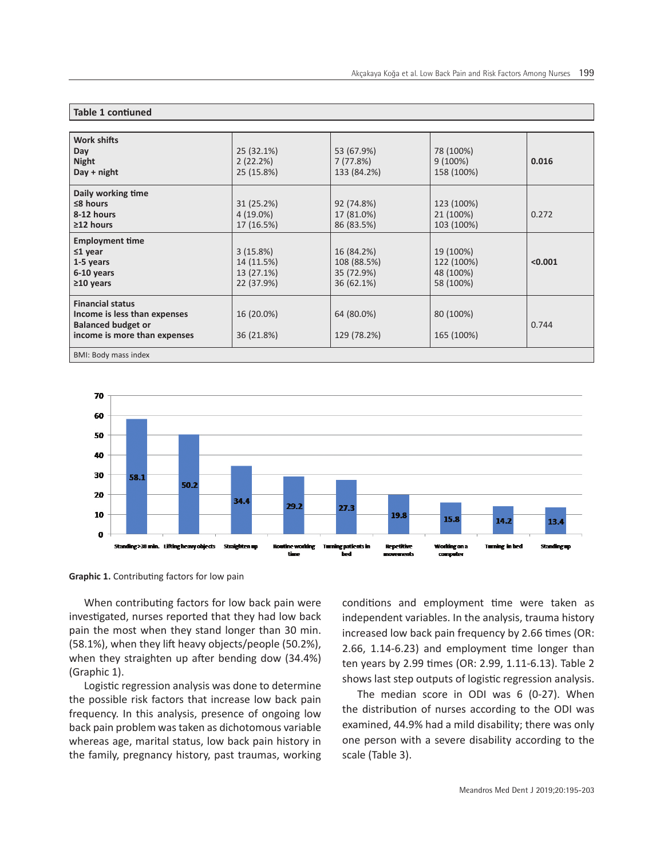| Work shifts<br>Day<br><b>Night</b><br>$Day + night$                                                                  | 25 (32.1%)<br>2(22.2%)<br>25 (15.8%)               | 53 (67.9%)<br>7(77.8%)<br>133 (84.2%)                 | 78 (100%)<br>9(100%)<br>158 (100%)                | 0.016   |  |
|----------------------------------------------------------------------------------------------------------------------|----------------------------------------------------|-------------------------------------------------------|---------------------------------------------------|---------|--|
| Daily working time<br>$\leq$ 8 hours<br>8-12 hours<br>$\geq$ 12 hours                                                | 31 (25.2%)<br>$4(19.0\%)$<br>17 (16.5%)            | 92 (74.8%)<br>17 (81.0%)<br>86 (83.5%)                | 123 (100%)<br>21 (100%)<br>103 (100%)             | 0.272   |  |
| <b>Employment time</b><br>$\leq 1$ year<br>1-5 years<br>6-10 years<br>$\geq$ 10 years                                | 3(15.8%)<br>14 (11.5%)<br>13 (27.1%)<br>22 (37.9%) | 16 (84.2%)<br>108 (88.5%)<br>35 (72.9%)<br>36 (62.1%) | 19 (100%)<br>122 (100%)<br>48 (100%)<br>58 (100%) | < 0.001 |  |
| <b>Financial status</b><br>Income is less than expenses<br><b>Balanced budget or</b><br>income is more than expenses | 16 (20.0%)<br>36 (21.8%)                           | 64 (80.0%)<br>129 (78.2%)                             | 80 (100%)<br>165 (100%)                           | 0.744   |  |
| BMI: Body mass index                                                                                                 |                                                    |                                                       |                                                   |         |  |



**Graphic 1.** Contributing factors for low pain

**Table 1 contiuned**

When contributing factors for low back pain were investigated, nurses reported that they had low back pain the most when they stand longer than 30 min. (58.1%), when they lift heavy objects/people (50.2%), when they straighten up after bending dow (34.4%) (Graphic 1).

Logistic regression analysis was done to determine the possible risk factors that increase low back pain frequency. In this analysis, presence of ongoing low back pain problem was taken as dichotomous variable whereas age, marital status, low back pain history in the family, pregnancy history, past traumas, working conditions and employment time were taken as independent variables. In the analysis, trauma history increased low back pain frequency by 2.66 times (OR: 2.66, 1.14-6.23) and employment time longer than ten years by 2.99 times (OR: 2.99, 1.11-6.13). Table 2 shows last step outputs of logistic regression analysis.

The median score in ODI was 6 (0-27). When the distribution of nurses according to the ODI was examined, 44.9% had a mild disability; there was only one person with a severe disability according to the scale (Table 3).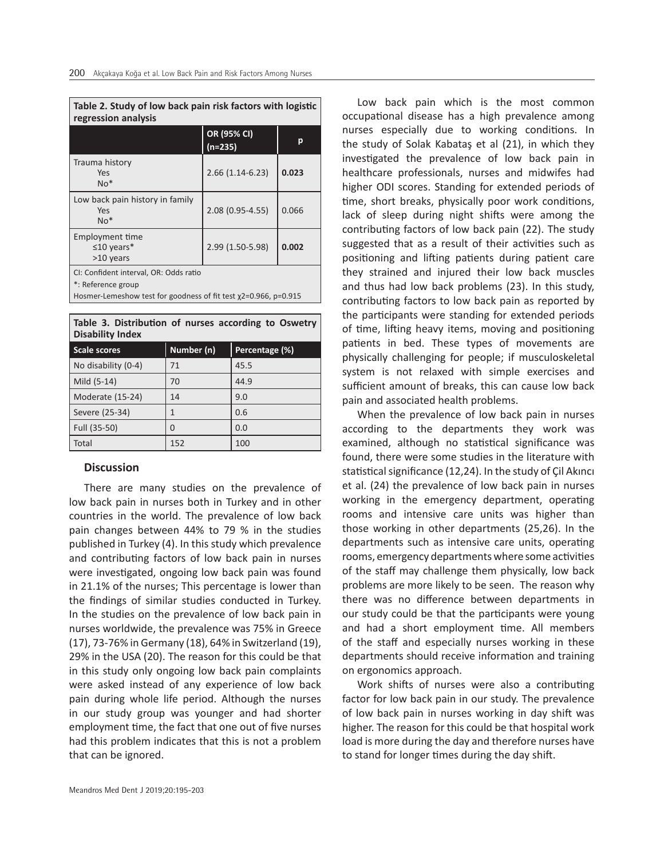| Table 2. Study of low back pain risk factors with logistic<br>regression analysis                                                     |                          |       |  |  |
|---------------------------------------------------------------------------------------------------------------------------------------|--------------------------|-------|--|--|
|                                                                                                                                       | OR (95% CI)<br>$(n=235)$ | р     |  |  |
| Trauma history<br>Yes<br>$No*$                                                                                                        | $2.66(1.14-6.23)$        | 0.023 |  |  |
| Low back pain history in family<br>Yes<br>$No*$                                                                                       | 2.08 (0.95-4.55)         | 0.066 |  |  |
| Employment time<br>$\leq$ 10 years*<br>>10 years                                                                                      | 2.99 (1.50-5.98)         | 0.002 |  |  |
| CI: Confident interval, OR: Odds ratio<br>*: Reference group<br>Hosmer-Lemeshow test for goodness of fit test $x^2=0.966$ , $p=0.915$ |                          |       |  |  |

|                         | Table 3. Distribution of nurses according to Oswetry |  |  |  |
|-------------------------|------------------------------------------------------|--|--|--|
| <b>Disability Index</b> |                                                      |  |  |  |

| <b>Scale scores</b> | Number (n) | Percentage (%) |
|---------------------|------------|----------------|
| No disability (0-4) | 71         | 45.5           |
| Mild (5-14)         | 70         | 44.9           |
| Moderate (15-24)    | 14         | 9.0            |
| Severe (25-34)      |            | 0.6            |
| Full (35-50)        | O          | 0.0            |
| Total               | 152        | 100            |

# **Discussion**

There are many studies on the prevalence of low back pain in nurses both in Turkey and in other countries in the world. The prevalence of low back pain changes between 44% to 79 % in the studies published in Turkey (4). In this study which prevalence and contributing factors of low back pain in nurses were investigated, ongoing low back pain was found in 21.1% of the nurses; This percentage is lower than the findings of similar studies conducted in Turkey. In the studies on the prevalence of low back pain in nurses worldwide, the prevalence was 75% in Greece (17), 73-76% in Germany (18), 64% in Switzerland (19), 29% in the USA (20). The reason for this could be that in this study only ongoing low back pain complaints were asked instead of any experience of low back pain during whole life period. Although the nurses in our study group was younger and had shorter employment time, the fact that one out of five nurses had this problem indicates that this is not a problem that can be ignored.

Low back pain which is the most common occupational disease has a high prevalence among nurses especially due to working conditions. In the study of Solak Kabataş et al (21), in which they investigated the prevalence of low back pain in healthcare professionals, nurses and midwifes had higher ODI scores. Standing for extended periods of time, short breaks, physically poor work conditions, lack of sleep during night shifts were among the contributing factors of low back pain (22). The study suggested that as a result of their activities such as positioning and lifting patients during patient care they strained and injured their low back muscles and thus had low back problems (23). In this study, contributing factors to low back pain as reported by the participants were standing for extended periods of time, lifting heavy items, moving and positioning patients in bed. These types of movements are physically challenging for people; if musculoskeletal system is not relaxed with simple exercises and sufficient amount of breaks, this can cause low back pain and associated health problems.

When the prevalence of low back pain in nurses according to the departments they work was examined, although no statistical significance was found, there were some studies in the literature with statistical significance (12,24). In the study of Çil Akıncı et al. (24) the prevalence of low back pain in nurses working in the emergency department, operating rooms and intensive care units was higher than those working in other departments (25,26). In the departments such as intensive care units, operating rooms, emergency departments where some activities of the staff may challenge them physically, low back problems are more likely to be seen. The reason why there was no difference between departments in our study could be that the participants were young and had a short employment time. All members of the staff and especially nurses working in these departments should receive information and training on ergonomics approach.

Work shifts of nurses were also a contributing factor for low back pain in our study. The prevalence of low back pain in nurses working in day shift was higher. The reason for this could be that hospital work load is more during the day and therefore nurses have to stand for longer times during the day shift.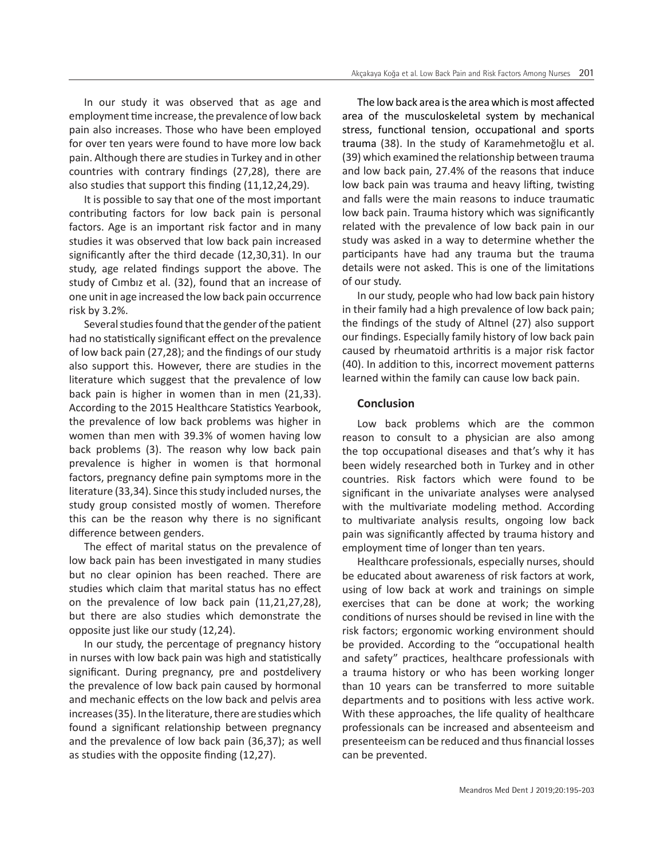In our study it was observed that as age and employment time increase, the prevalence of low back pain also increases. Those who have been employed for over ten years were found to have more low back pain. Although there are studies in Turkey and in other countries with contrary findings (27,28), there are also studies that support this finding (11,12,24,29).

It is possible to say that one of the most important contributing factors for low back pain is personal factors. Age is an important risk factor and in many studies it was observed that low back pain increased significantly after the third decade (12,30,31). In our study, age related findings support the above. The study of Cımbız et al. (32), found that an increase of one unit in age increased the low back pain occurrence risk by 3.2%.

Several studies found that the gender of the patient had no statistically significant effect on the prevalence of low back pain (27,28); and the findings of our study also support this. However, there are studies in the literature which suggest that the prevalence of low back pain is higher in women than in men (21,33). According to the 2015 Healthcare Statistics Yearbook, the prevalence of low back problems was higher in women than men with 39.3% of women having low back problems (3). The reason why low back pain prevalence is higher in women is that hormonal factors, pregnancy define pain symptoms more in the literature (33,34). Since this study included nurses, the study group consisted mostly of women. Therefore this can be the reason why there is no significant difference between genders.

The effect of marital status on the prevalence of low back pain has been investigated in many studies but no clear opinion has been reached. There are studies which claim that marital status has no effect on the prevalence of low back pain (11,21,27,28), but there are also studies which demonstrate the opposite just like our study (12,24).

In our study, the percentage of pregnancy history in nurses with low back pain was high and statistically significant. During pregnancy, pre and postdelivery the prevalence of low back pain caused by hormonal and mechanic effects on the low back and pelvis area increases (35). In the literature, there are studies which found a significant relationship between pregnancy and the prevalence of low back pain (36,37); as well as studies with the opposite finding (12,27).

The low back area is the area which is most affected area of the musculoskeletal system by mechanical stress, functional tension, occupational and sports trauma (38). In the study of Karamehmetoğlu et al. (39) which examined the relationship between trauma and low back pain, 27.4% of the reasons that induce low back pain was trauma and heavy lifting, twisting and falls were the main reasons to induce traumatic low back pain. Trauma history which was significantly related with the prevalence of low back pain in our study was asked in a way to determine whether the participants have had any trauma but the trauma details were not asked. This is one of the limitations of our study.

In our study, people who had low back pain history in their family had a high prevalence of low back pain; the findings of the study of Altınel (27) also support our findings. Especially family history of low back pain caused by rheumatoid arthritis is a major risk factor (40). In addition to this, incorrect movement patterns learned within the family can cause low back pain.

#### **Conclusion**

Low back problems which are the common reason to consult to a physician are also among the top occupational diseases and that's why it has been widely researched both in Turkey and in other countries. Risk factors which were found to be significant in the univariate analyses were analysed with the multivariate modeling method. According to multivariate analysis results, ongoing low back pain was significantly affected by trauma history and employment time of longer than ten years.

Healthcare professionals, especially nurses, should be educated about awareness of risk factors at work, using of low back at work and trainings on simple exercises that can be done at work; the working conditions of nurses should be revised in line with the risk factors; ergonomic working environment should be provided. According to the "occupational health and safety" practices, healthcare professionals with a trauma history or who has been working longer than 10 years can be transferred to more suitable departments and to positions with less active work. With these approaches, the life quality of healthcare professionals can be increased and absenteeism and presenteeism can be reduced and thus financial losses can be prevented.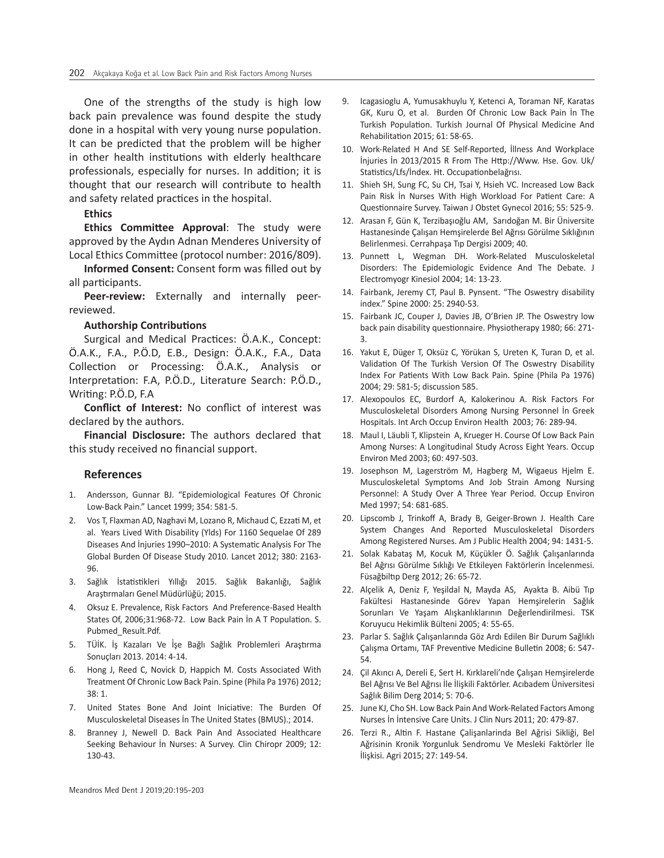One of the strengths of the study is high low back pain prevalence was found despite the study done in a hospital with very young nurse population. It can be predicted that the problem will be higher in other health institutions with elderly healthcare professionals, especially for nurses. In addition; it is thought that our research will contribute to health and safety related practices in the hospital.

## **Ethics**

**Ethics Committee Approval**: The study were approved by the Aydın Adnan Menderes University of Local Ethics Committee (protocol number: 2016/809).

**Informed Consent:** Consent form was filled out by all participants.

**Peer-review:** Externally and internally peerreviewed.

#### **Authorship Contributions**

Surgical and Medical Practices: Ö.A.K., Concept: Ö.A.K., F.A., P.Ö.D, E.B., Design: Ö.A.K., F.A., Data Collection or Processing: Ö.A.K., Analysis or Interpretation: F.A, P.Ö.D., Literature Search: P.Ö.D., Writing: P.Ö.D, F.A

**Conflict of Interest:** No conflict of interest was declared by the authors.

**Financial Disclosure:** The authors declared that this study received no financial support.

### **References**

- 1. Andersson, Gunnar BJ. "Epidemiological Features Of Chronic Low-Back Pain." Lancet 1999; 354: 581-5.
- 2. Vos T, Flaxman AD, Naghavi M, Lozano R, Michaud C, Ezzati M, et al. Years Lived With Disability (Ylds) For 1160 Sequelae Of 289 Diseases And İnjuries 1990–2010: A Systematic Analysis For The Global Burden Of Disease Study 2010. Lancet 2012; 380: 2163- 96.
- 3. Sağlık İstatistikleri Yıllığı 2015. Sağlık Bakanlığı, Sağlık Araştırmaları Genel Müdürlüğü; 2015.
- 4. Oksuz E. Prevalence, Risk Factors And Preference-Based Health States Of, 2006;31:968-72. Low Back Pain İn A T Population. S. Pubmed\_Result.Pdf.
- 5. TÜİK. İş Kazaları Ve İşe Bağlı Sağlık Problemleri Araştırma Sonuçları 2013. 2014: 4-14.
- 6. Hong J, Reed C, Novick D, Happich M. Costs Associated With Treatment Of Chronic Low Back Pain. Spine (Phila Pa 1976) 2012; 38: 1.
- 7. United States Bone And Joint Iniciative: The Burden Of Musculoskeletal Diseases İn The United States (BMUS).; 2014.
- 8. Branney J, Newell D. Back Pain And Associated Healthcare Seeking Behaviour İn Nurses: A Survey. Clin Chiropr 2009; 12: 130-43.
- 9. Icagasioglu A, Yumusakhuylu Y, Ketenci A, Toraman NF, Karatas GK, Kuru O, et al. Burden Of Chronic Low Back Pain İn The Turkish Population. Turkish Journal Of Physical Medicine And Rehabilitation 2015; 61: 58-65.
- 10. Work-Related H And SE Self-Reported, İllness And Workplace İnjuries İn 2013/2015 R From The Http://Www. Hse. Gov. Uk/ Statistics/Lfs/İndex. Ht. Occupationbelağrısı.
- 11. Shieh SH, Sung FC, Su CH, Tsai Y, Hsieh VC. Increased Low Back Pain Risk İn Nurses With High Workload For Patient Care: A Questionnaire Survey. Taiwan J Obstet Gynecol 2016; 55: 525-9.
- 12. Arasan F, Gün K, Terzibaşıoğlu AM, Sarıdoğan M. Bir Üniversite Hastanesinde Çalışan Hemşirelerde Bel Ağrısı Görülme Sıklığının Belirlenmesi. Cerrahpaşa Tıp Dergisi 2009; 40.
- 13. Punnett L, Wegman DH. Work-Related Musculoskeletal Disorders: The Epidemiologic Evidence And The Debate. J Electromyogr Kinesiol 2004; 14: 13-23.
- 14. Fairbank, Jeremy CT, Paul B. Pynsent. "The Oswestry disability index." Spine 2000: 25: 2940-53.
- 15. Fairbank JC, Couper J, Davies JB, O'Brien JP. The Oswestry low back pain disability questionnaire. Physiotherapy 1980; 66: 271- 3.
- 16. Yakut E, Düger T, Oksüz C, Yörükan S, Ureten K, Turan D, et al. Validation Of The Turkish Version Of The Oswestry Disability Index For Patients With Low Back Pain. Spine (Phila Pa 1976) 2004; 29: 581-5; discussion 585.
- 17. Alexopoulos EC, Burdorf A, Kalokerinou A. Risk Factors For Musculoskeletal Disorders Among Nursing Personnel İn Greek Hospitals. Int Arch Occup Environ Health 2003; 76: 289-94.
- 18. Maul I, Läubli T, Klipstein A, Krueger H. Course Of Low Back Pain Among Nurses: A Longitudinal Study Across Eight Years. Occup Environ Med 2003; 60: 497-503.
- 19. Josephson M, Lagerström M, Hagberg M, Wigaeus Hjelm E. Musculoskeletal Symptoms And Job Strain Among Nursing Personnel: A Study Over A Three Year Period. Occup Environ Med 1997; 54: 681-685.
- 20. Lipscomb J, Trinkoff A, Brady B, Geiger-Brown J. Health Care System Changes And Reported Musculoskeletal Disorders Among Registered Nurses. Am J Public Health 2004; 94: 1431-5.
- 21. Solak Kabataş M, Kocuk M, Küçükler Ö. Sağlık Çalışanlarında Bel Ağrısı Görülme Sıklığı Ve Etkileyen Faktörlerin İncelenmesi. Füsağbiltıp Derg 2012; 26: 65-72.
- 22. Alçelik A, Deniz F, Yeşildal N, Mayda AS, Ayakta B. Aibü Tıp Fakültesi Hastanesinde Görev Yapan Hemşirelerin Sağlık Sorunları Ve Yaşam Alışkanlıklarının Değerlendirilmesi. TSK Koruyucu Hekimlik Bülteni 2005; 4: 55-65.
- 23. Parlar S. Sağlık Çalışanlarında Göz Ardı Edilen Bir Durum Sağlıklı Çalışma Ortamı, TAF Preventive Medicine Bulletin 2008; 6: 547- 54.
- 24. Çil Akıncı A, Dereli E, Sert H. Kırklareli'nde Çalışan Hemşirelerde Bel Ağrısı Ve Bel Ağrısı İle İlişkili Faktörler. Acıbadem Üniversitesi Sağlık Bilim Derg 2014; 5: 70-6.
- 25. June KJ, Cho SH. Low Back Pain And Work-Related Factors Among Nurses İn İntensive Care Units. J Clin Nurs 2011; 20: 479-87.
- 26. Terzi R., Altin F. Hastane Çalişanlarinda Bel Aǧrisi Sikliǧi, Bel Aǧrisinin Kronik Yorgunluk Sendromu Ve Mesleki Faktörler İle İlişkisi. Agri 2015; 27: 149-54.